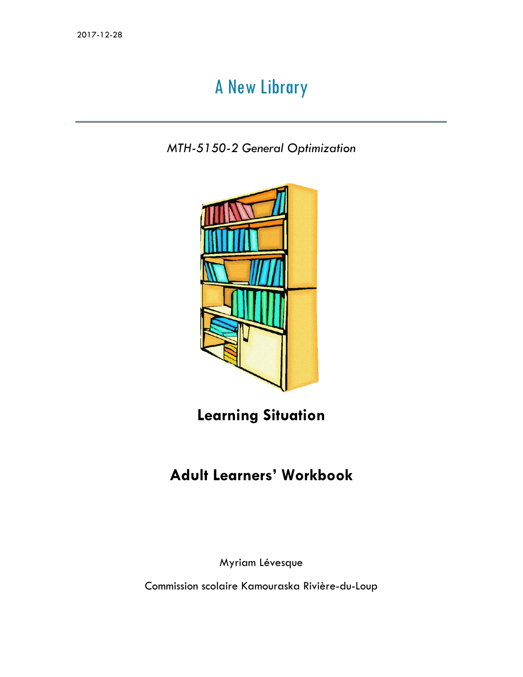# A New Library

*MTH-5150-2 General Optimization*



**Learning Situation**

## **Adult Learners' Workbook**

Myriam Lévesque

Commission scolaire Kamouraska Rivière-du-Loup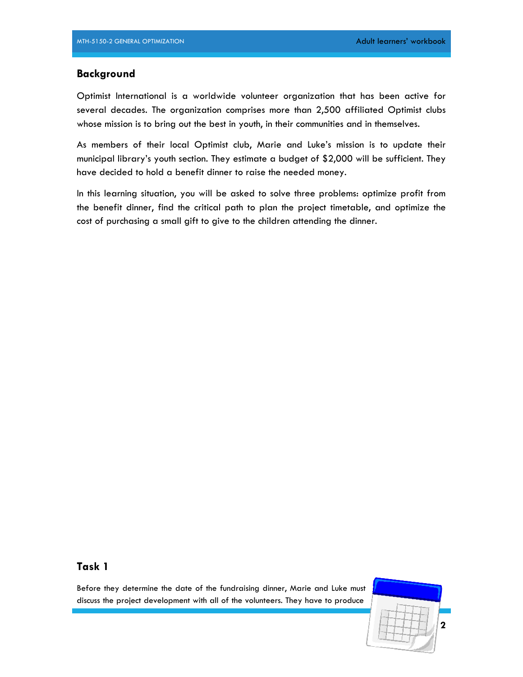#### **Background**

Optimist International is a worldwide volunteer organization that has been active for several decades. The organization comprises more than 2,500 affiliated Optimist clubs whose mission is to bring out the best in youth, in their communities and in themselves.

As members of their local Optimist club, Marie and Luke's mission is to update their municipal library's youth section. They estimate a budget of \$2,000 will be sufficient. They have decided to hold a benefit dinner to raise the needed money.

In this learning situation, you will be asked to solve three problems: optimize profit from the benefit dinner, find the critical path to plan the project timetable, and optimize the cost of purchasing a small gift to give to the children attending the dinner.

#### **Task 1**

Before they determine the date of the fundraising dinner, Marie and Luke must discuss the project development with all of the volunteers. They have to produce

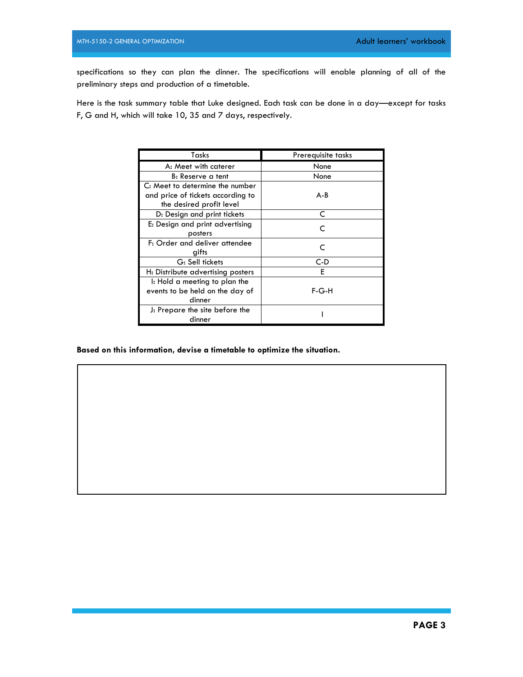specifications so they can plan the dinner. The specifications will enable planning of all of the preliminary steps and production of a timetable.

Here is the task summary table that Luke designed. Each task can be done in a day—except for tasks F, G and H, which will take 10, 35 and 7 days, respectively.

| Tasks                                                                                            | Prerequisite tasks |
|--------------------------------------------------------------------------------------------------|--------------------|
| A: Meet with caterer                                                                             | None               |
| B: Reserve a tent                                                                                | None               |
| C: Meet to determine the number<br>and price of tickets according to<br>the desired profit level | $A-B$              |
| D: Design and print tickets                                                                      | C                  |
| E: Design and print advertising<br>posters                                                       | $\subset$          |
| F: Order and deliver attendee<br>aifts                                                           | C                  |
| G: Sell tickets                                                                                  | C-D                |
| H: Distribute advertising posters                                                                | F                  |
| I: Hold a meeting to plan the<br>events to be held on the day of<br>dinner                       | $F-G-H$            |
| J: Prepare the site before the<br>dinner                                                         |                    |

**Based on this information, devise a timetable to optimize the situation.**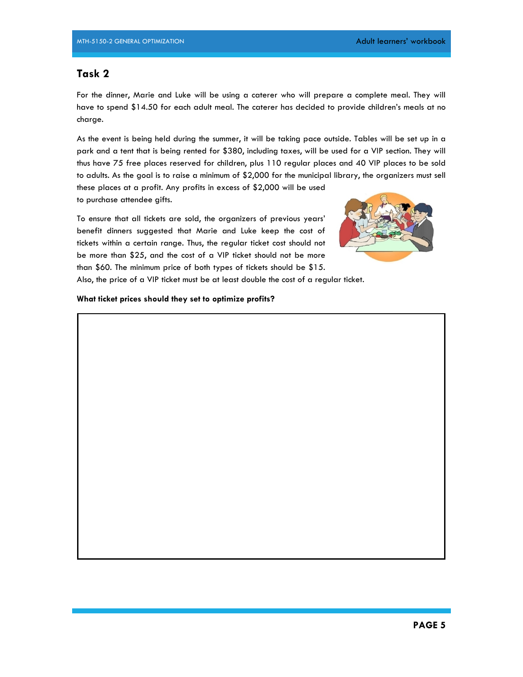#### **Task 2**

For the dinner, Marie and Luke will be using a caterer who will prepare a complete meal. They will have to spend \$14.50 for each adult meal. The caterer has decided to provide children's meals at no charge.

As the event is being held during the summer, it will be taking pace outside. Tables will be set up in a park and a tent that is being rented for \$380, including taxes, will be used for a VIP section. They will thus have 75 free places reserved for children, plus 110 regular places and 40 VIP places to be sold to adults. As the goal is to raise a minimum of \$2,000 for the municipal library, the organizers must sell these places at a profit. Any profits in excess of \$2,000 will be used

to purchase attendee gifts.

To ensure that all tickets are sold, the organizers of previous years' benefit dinners suggested that Marie and Luke keep the cost of tickets within a certain range. Thus, the regular ticket cost should not be more than \$25, and the cost of a VIP ticket should not be more than \$60. The minimum price of both types of tickets should be \$15.



Also, the price of a VIP ticket must be at least double the cost of a regular ticket.

#### **What ticket prices should they set to optimize profits?**

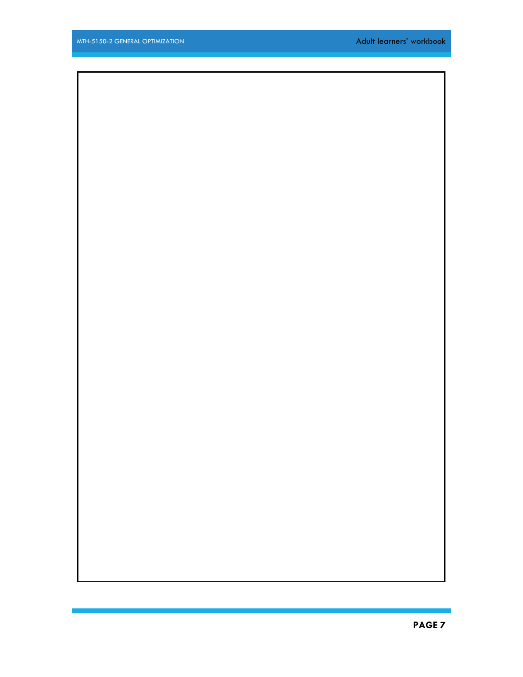**PAGE 7**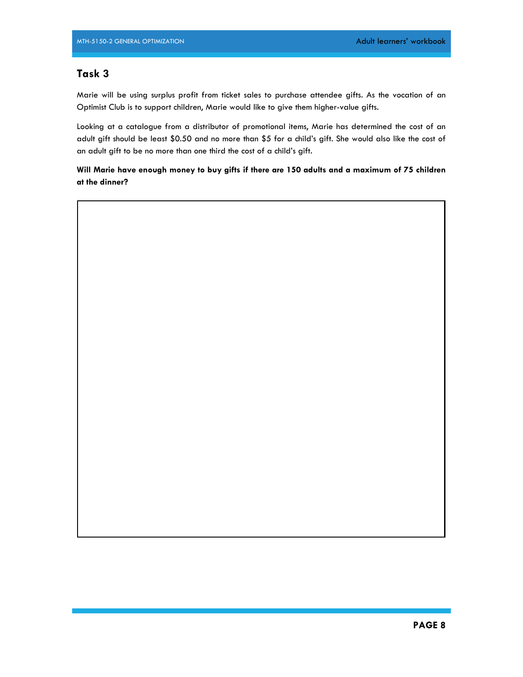#### **Task 3**

Marie will be using surplus profit from ticket sales to purchase attendee gifts. As the vocation of an Optimist Club is to support children, Marie would like to give them higher-value gifts.

Looking at a catalogue from a distributor of promotional items, Marie has determined the cost of an adult gift should be least \$0.50 and no more than \$5 for a child's gift. She would also like the cost of an adult gift to be no more than one third the cost of a child's gift.

**Will Marie have enough money to buy gifts if there are 150 adults and a maximum of 75 children at the dinner?**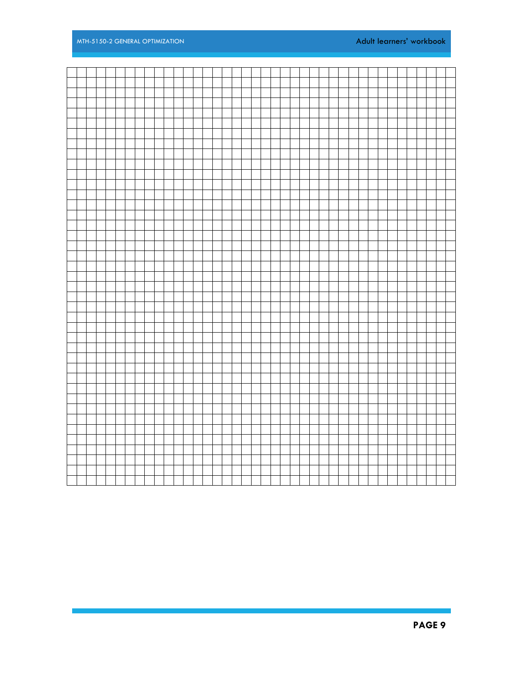| $\overline{\phantom{a}}$ |  |  |  |  |  |  |  |  |  |  |  |  |  |  |  |  |  |  |  |  |
|--------------------------|--|--|--|--|--|--|--|--|--|--|--|--|--|--|--|--|--|--|--|--|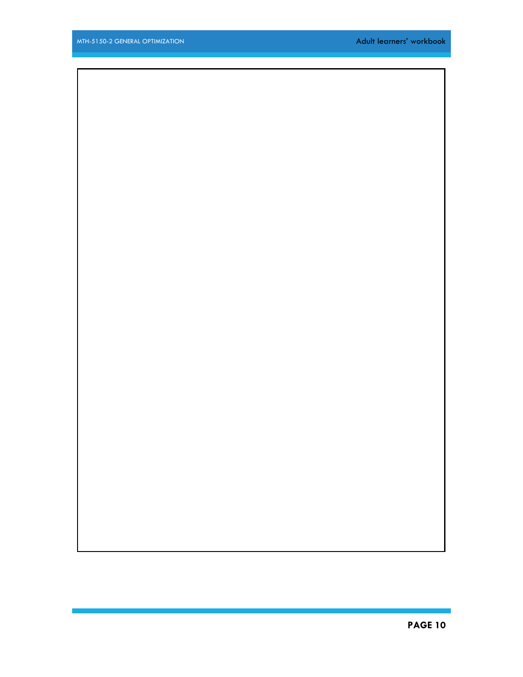**PAGE 10**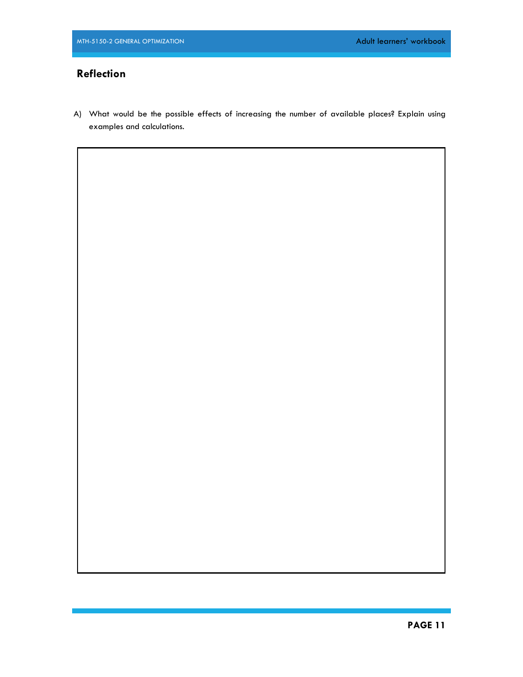### **Reflection**

A) What would be the possible effects of increasing the number of available places? Explain using examples and calculations.